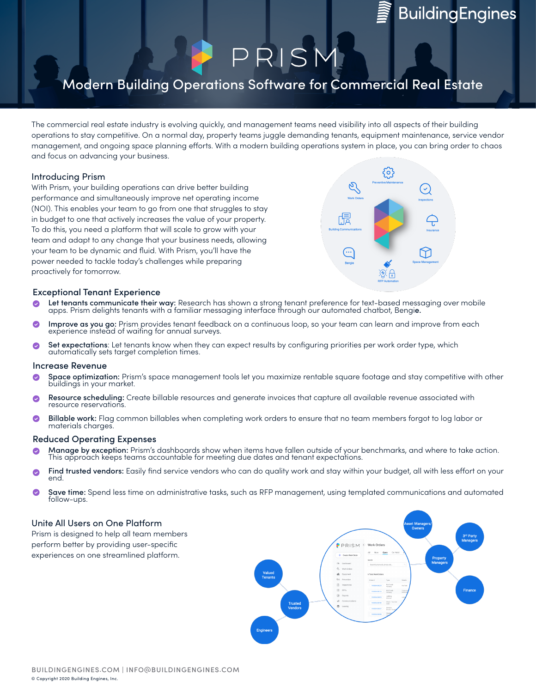## **BuildingEngines**

# $R$ | S

### Modern Building Operations Software for Commercial Real Estate

The commercial real estate industry is evolving quickly, and management teams need visibility into all aspects of their building operations to stay competitive. On a normal day, property teams juggle demanding tenants, equipment maintenance, service vendor management, and ongoing space planning efforts. With a modern building operations system in place, you can bring order to chaos and focus on advancing your business.

#### Introducing Prism

With Prism, your building operations can drive better building performance and simultaneously improve net operating income (NOI). This enables your team to go from one that struggles to stay in budget to one that actively increases the value of your property. To do this, you need a platform that will scale to grow with your team and adapt to any change that your business needs, allowing your team to be dynamic and fluid. With Prism, you'll have the power needed to tackle today's challenges while preparing proactively for tomorrow.



#### Exceptional Tenant Experience

- Let tenants communicate their way: Research has shown a strong tenant preference for text-based messaging over mobile apps. Prism delights tenants with a familiar messaging interface through our automated chatbot, Bengie.
- Improve as you go: Prism provides tenant feedback on a continuous loop, so your team can learn and improve from each experience instead of waiting for annual surveys.
- Set expectations: Let tenants know when they can expect results by configuring priorities per work order type, which automatically sets target completion times.  $\bullet$

#### Increase Revenue

- Space optimization: Prism's space management tools let you maximize rentable square footage and stay competitive with other<br>buildings in your market.
- Resource scheduling: Create billable resources and generate invoices that capture all available revenue associated with resource reservations.
- $\bullet$ Billable work: Flag common billables when completing work orders to ensure that no team members forgot to log labor or materials charges.

#### Reduced Operating Expenses

- Manage by exception: Prism's dashboards show when items have fallen outside of your benchmarks, and where to take action.<br>This approach keeps teams accountable for meeting due dates and tenant expectations.
- Find trusted vendors: Easily find service vendors who can do quality work and stay within your budget, all with less effort on your<br>end.
- Save time: Spend less time on administrative tasks, such as RFP management, using templated communications and automated<br>follow-ups.

#### Unite All Users on One Platform

Prism is designed to help all team members perform better by providing user-specific experiences on one streamlined platform.